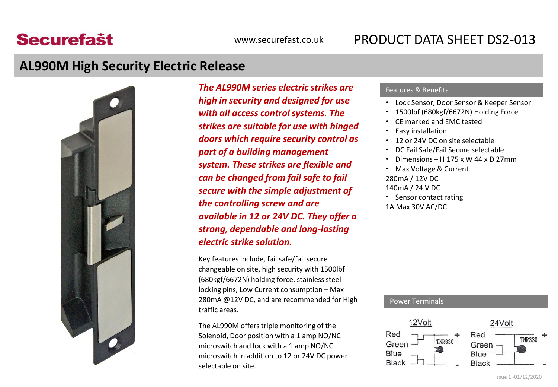# **Securefast**

### **AL990M High Security Electric Release**



**The AL990M series electric strikes are Features & Benefits** *high in security and designed for use with all access control systems. The strikes are suitable for use with hinged doors which require security control as part of a building management system. These strikes are flexible and can be changed from fail safe to fail secure with the simple adjustment of the controlling screw and are available in 12 or 24V DC. They offer a strong, dependable and long-lasting electric strike solution.*

Key features include, fail safe/fail secure changeable on site, high security with 1500lbf (680kgf/6672N) holding force, stainless steel locking pins, Low Current consumption – Max 280mA @12V DC, and are recommended for High traffic areas.

The AL990M offers triple monitoring of the Solenoid, Door position with a 1 amp NO/NC microswitch and lock with a 1 amp NO/NC microswitch in addition to 12 or 24V DC power selectable on site.

- Lock Sensor, Door Sensor & Keeper Sensor
- 1500lbf (680kgf/6672N) Holding Force
- CE marked and EMC tested
- Easy installation
- 12 or 24V DC on site selectable
- DC Fail Safe/Fail Secure selectable
- Dimensions H 175 x W 44 x D 27mm
- Max Voltage & Current 280mA / 12V DC 140mA / 24 V DC Sensor contact rating 1A Max 30V AC/DC

### Power Terminals